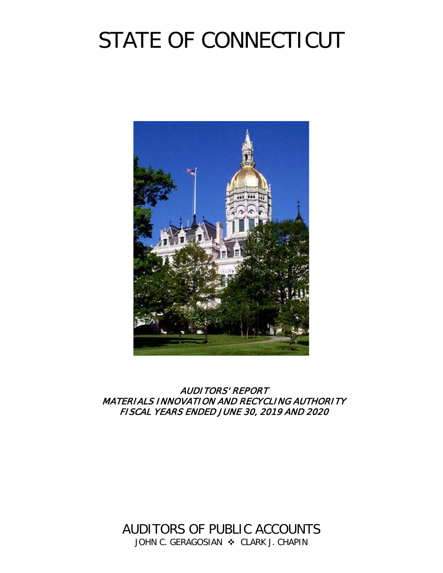# STATE OF CONNECTICUT



AUDITORS' REPORT MATERIALS INNOVATION AND RECYCLING AUTHORITY FISCAL YEARS ENDED JUNE 30, 2019 AND 2020

AUDITORS OF PUBLIC ACCOUNTS JOHN C. GERAGOSIAN  $\cdot$  CLARK J. CHAPIN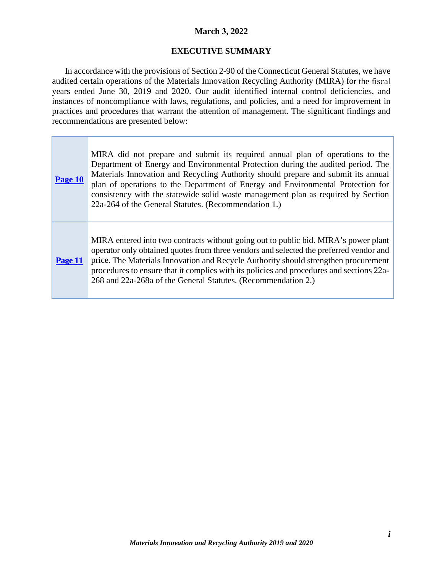## **March 3, 2022**

## **EXECUTIVE SUMMARY**

<span id="page-2-0"></span>In accordance with the provisions of Section 2-90 of the Connecticut General Statutes, we have audited certain operations of the Materials Innovation Recycling Authority (MIRA) for the fiscal years ended June 30, 2019 and 2020. Our audit identified internal control deficiencies, and instances of noncompliance with laws, regulations, and policies, and a need for improvement in practices and procedures that warrant the attention of management. The significant findings and recommendations are presented below:

| Page 10 | MIRA did not prepare and submit its required annual plan of operations to the<br>Department of Energy and Environmental Protection during the audited period. The<br>Materials Innovation and Recycling Authority should prepare and submit its annual<br>plan of operations to the Department of Energy and Environmental Protection for<br>consistency with the statewide solid waste management plan as required by Section<br>22a-264 of the General Statutes. (Recommendation 1.) |
|---------|----------------------------------------------------------------------------------------------------------------------------------------------------------------------------------------------------------------------------------------------------------------------------------------------------------------------------------------------------------------------------------------------------------------------------------------------------------------------------------------|
| Page 11 | MIRA entered into two contracts without going out to public bid. MIRA's power plant<br>operator only obtained quotes from three vendors and selected the preferred vendor and<br>price. The Materials Innovation and Recycle Authority should strengthen procurement<br>procedures to ensure that it complies with its policies and procedures and sections 22a-<br>268 and 22a-268a of the General Statutes. (Recommendation 2.)                                                      |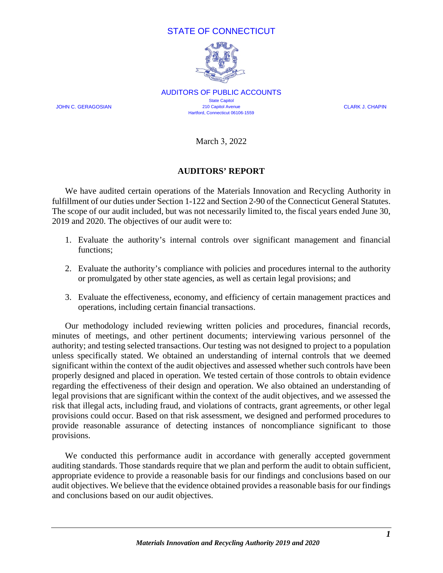## STATE OF CONNECTICUT



JOHN C. GERAGOSIAN **CLARK J. CHAPIN** 210 Capitol Avenue **CLARK J. CHAPIN** AUDITORS OF PUBLIC ACCOUNTS **State Capitol** 210 Capitol Avenue Hartford, Connecticut 06106-1559

March 3, 2022

## **AUDITORS' REPORT**

<span id="page-3-0"></span>We have audited certain operations of the Materials Innovation and Recycling Authority in fulfillment of our duties under Section 1-122 and Section 2-90 of the Connecticut General Statutes. The scope of our audit included, but was not necessarily limited to, the fiscal years ended June 30, 2019 and 2020. The objectives of our audit were to:

- 1. Evaluate the authority's internal controls over significant management and financial functions;
- 2. Evaluate the authority's compliance with policies and procedures internal to the authority or promulgated by other state agencies, as well as certain legal provisions; and
- 3. Evaluate the effectiveness, economy, and efficiency of certain management practices and operations, including certain financial transactions.

Our methodology included reviewing written policies and procedures, financial records, minutes of meetings, and other pertinent documents; interviewing various personnel of the authority; and testing selected transactions. Our testing was not designed to project to a population unless specifically stated. We obtained an understanding of internal controls that we deemed significant within the context of the audit objectives and assessed whether such controls have been properly designed and placed in operation. We tested certain of those controls to obtain evidence regarding the effectiveness of their design and operation. We also obtained an understanding of legal provisions that are significant within the context of the audit objectives, and we assessed the risk that illegal acts, including fraud, and violations of contracts, grant agreements, or other legal provisions could occur. Based on that risk assessment, we designed and performed procedures to provide reasonable assurance of detecting instances of noncompliance significant to those provisions.

We conducted this performance audit in accordance with generally accepted government auditing standards. Those standards require that we plan and perform the audit to obtain sufficient, appropriate evidence to provide a reasonable basis for our findings and conclusions based on our audit objectives. We believe that the evidence obtained provides a reasonable basis for our findings and conclusions based on our audit objectives.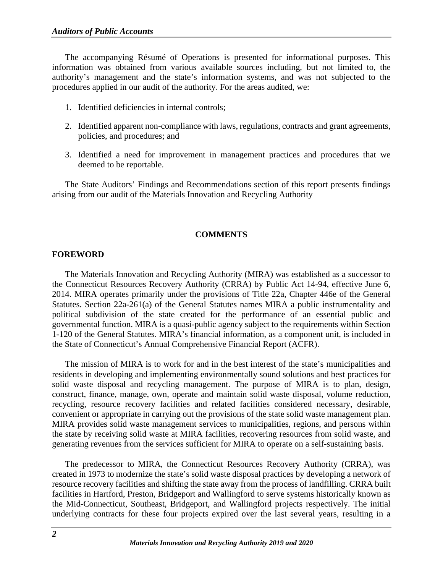The accompanying Résumé of Operations is presented for informational purposes. This information was obtained from various available sources including, but not limited to, the authority's management and the state's information systems, and was not subjected to the procedures applied in our audit of the authority. For the areas audited, we:

- 1. Identified deficiencies in internal controls;
- 2. Identified apparent non-compliance with laws, regulations, contracts and grant agreements, policies, and procedures; and
- 3. Identified a need for improvement in management practices and procedures that we deemed to be reportable.

The State Auditors' Findings and Recommendations section of this report presents findings arising from our audit of the Materials Innovation and Recycling Authority

#### **COMMENTS**

#### <span id="page-4-1"></span><span id="page-4-0"></span>**FOREWORD**

The Materials Innovation and Recycling Authority (MIRA) was established as a successor to the Connecticut Resources Recovery Authority (CRRA) by Public Act 14-94, effective June 6, 2014. MIRA operates primarily under the provisions of Title 22a, Chapter 446e of the General Statutes. Section 22a-261(a) of the General Statutes names MIRA a public instrumentality and political subdivision of the state created for the performance of an essential public and governmental function. MIRA is a quasi-public agency subject to the requirements within Section 1-120 of the General Statutes. MIRA's financial information, as a component unit, is included in the State of Connecticut's Annual Comprehensive Financial Report (ACFR).

The mission of MIRA is to work for and in the best interest of the state's municipalities and residents in developing and implementing environmentally sound solutions and best practices for solid waste disposal and recycling management. The purpose of MIRA is to plan, design, construct, finance, manage, own, operate and maintain solid waste disposal, volume reduction, recycling, resource recovery facilities and related facilities considered necessary, desirable, convenient or appropriate in carrying out the provisions of the state solid waste management plan. MIRA provides solid waste management services to municipalities, regions, and persons within the state by receiving solid waste at MIRA facilities, recovering resources from solid waste, and generating revenues from the services sufficient for MIRA to operate on a self-sustaining basis.

The predecessor to MIRA, the Connecticut Resources Recovery Authority (CRRA), was created in 1973 to modernize the state's solid waste disposal practices by developing a network of resource recovery facilities and shifting the state away from the process of landfilling. CRRA built facilities in Hartford, Preston, Bridgeport and Wallingford to serve systems historically known as the Mid-Connecticut, Southeast, Bridgeport, and Wallingford projects respectively. The initial underlying contracts for these four projects expired over the last several years, resulting in a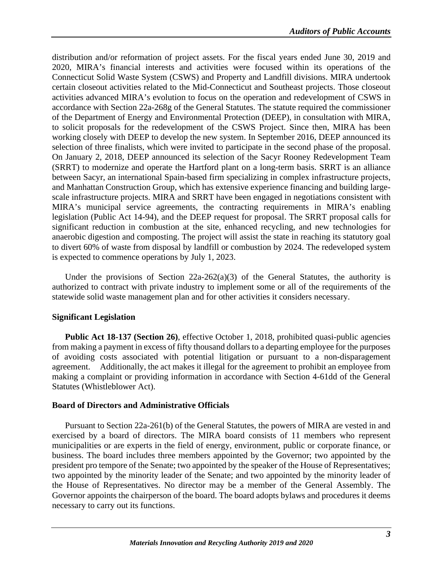distribution and/or reformation of project assets. For the fiscal years ended June 30, 2019 and 2020, MIRA's financial interests and activities were focused within its operations of the Connecticut Solid Waste System (CSWS) and Property and Landfill divisions. MIRA undertook certain closeout activities related to the Mid-Connecticut and Southeast projects. Those closeout activities advanced MIRA's evolution to focus on the operation and redevelopment of CSWS in accordance with Section 22a-268g of the General Statutes. The statute required the commissioner of the Department of Energy and Environmental Protection (DEEP), in consultation with MIRA, to solicit proposals for the redevelopment of the CSWS Project. Since then, MIRA has been working closely with DEEP to develop the new system. In September 2016, DEEP announced its selection of three finalists, which were invited to participate in the second phase of the proposal. On January 2, 2018, DEEP announced its selection of the Sacyr Rooney Redevelopment Team (SRRT) to modernize and operate the Hartford plant on a long-term basis. SRRT is an alliance between Sacyr, an international Spain-based firm specializing in complex infrastructure projects, and Manhattan Construction Group, which has extensive experience financing and building largescale infrastructure projects. MIRA and SRRT have been engaged in negotiations consistent with MIRA's municipal service agreements, the contracting requirements in MIRA's enabling legislation (Public Act 14-94), and the DEEP request for proposal. The SRRT proposal calls for significant reduction in combustion at the site, enhanced recycling, and new technologies for anaerobic digestion and composting. The project will assist the state in reaching its statutory goal to divert 60% of waste from disposal by landfill or combustion by 2024. The redeveloped system is expected to commence operations by July 1, 2023.

Under the provisions of Section  $22a-262(a)(3)$  of the General Statutes, the authority is authorized to contract with private industry to implement some or all of the requirements of the statewide solid waste management plan and for other activities it considers necessary.

#### **Significant Legislation**

**Public Act 18-137 (Section 26)**, effective October 1, 2018, prohibited quasi-public agencies from making a payment in excess of fifty thousand dollars to a departing employee for the purposes of avoiding costs associated with potential litigation or pursuant to a non-disparagement agreement. Additionally, the act makes it illegal for the agreement to prohibit an employee from making a complaint or providing information in accordance with Section 4-61dd of the General Statutes (Whistleblower Act).

## <span id="page-5-0"></span>**Board of Directors and Administrative Officials**

Pursuant to Section 22a-261(b) of the General Statutes, the powers of MIRA are vested in and exercised by a board of directors. The MIRA board consists of 11 members who represent municipalities or are experts in the field of energy, environment, public or corporate finance, or business. The board includes three members appointed by the Governor; two appointed by the president pro tempore of the Senate; two appointed by the speaker of the House of Representatives; two appointed by the minority leader of the Senate; and two appointed by the minority leader of the House of Representatives. No director may be a member of the General Assembly. The Governor appoints the chairperson of the board. The board adopts bylaws and procedures it deems necessary to carry out its functions.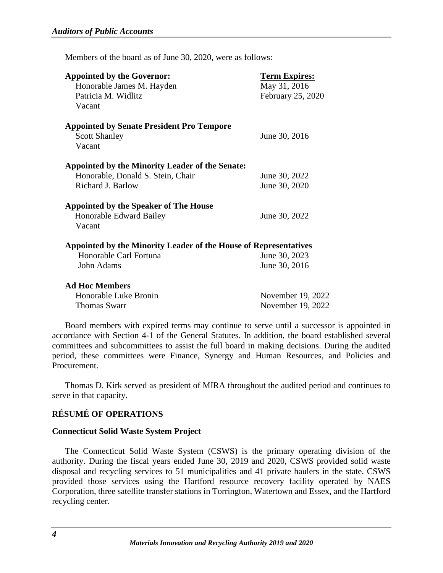Members of the board as of June 30, 2020, were as follows:

| <b>Appointed by the Governor:</b><br>Honorable James M. Hayden<br>Patricia M. Widlitz<br>Vacant           | <b>Term Expires:</b><br>May 31, 2016<br>February 25, 2020 |
|-----------------------------------------------------------------------------------------------------------|-----------------------------------------------------------|
| <b>Appointed by Senate President Pro Tempore</b><br><b>Scott Shanley</b><br>Vacant                        | June 30, 2016                                             |
| Appointed by the Minority Leader of the Senate:<br>Honorable, Donald S. Stein, Chair<br>Richard J. Barlow | June 30, 2022<br>June 30, 2020                            |
| <b>Appointed by the Speaker of The House</b><br>Honorable Edward Bailey<br>Vacant                         | June 30, 2022                                             |
| Appointed by the Minority Leader of the House of Representatives                                          |                                                           |
| Honorable Carl Fortuna<br>John Adams                                                                      | June 30, 2023<br>June 30, 2016                            |
| <b>Ad Hoc Members</b><br>Honorable Luke Bronin<br>Thomas Swarr                                            | November 19, 2022<br>November 19, 2022                    |

Board members with expired terms may continue to serve until a successor is appointed in accordance with Section 4-1 of the General Statutes. In addition, the board established several committees and subcommittees to assist the full board in making decisions. During the audited period, these committees were Finance, Synergy and Human Resources, and Policies and Procurement.

Thomas D. Kirk served as president of MIRA throughout the audited period and continues to serve in that capacity.

## <span id="page-6-0"></span>**RÉSUMÉ OF OPERATIONS**

#### <span id="page-6-1"></span>**Connecticut Solid Waste System Project**

The Connecticut Solid Waste System (CSWS) is the primary operating division of the authority. During the fiscal years ended June 30, 2019 and 2020, CSWS provided solid waste disposal and recycling services to 51 municipalities and 41 private haulers in the state. CSWS provided those services using the Hartford resource recovery facility operated by NAES Corporation, three satellite transfer stations in Torrington, Watertown and Essex, and the Hartford recycling center.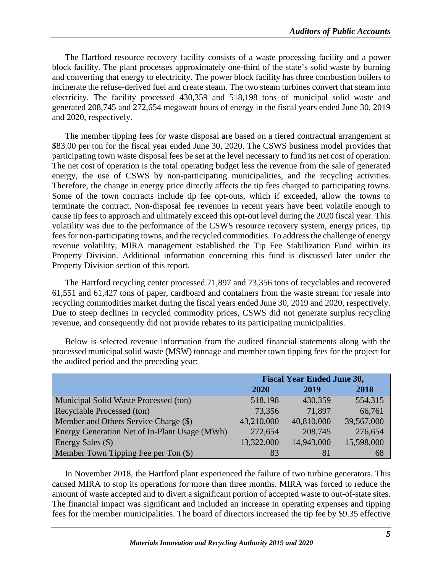The Hartford resource recovery facility consists of a waste processing facility and a power block facility. The plant processes approximately one-third of the state's solid waste by burning and converting that energy to electricity. The power block facility has three combustion boilers to incinerate the refuse-derived fuel and create steam. The two steam turbines convert that steam into electricity. The facility processed 430,359 and 518,198 tons of municipal solid waste and generated 208,745 and 272,654 megawatt hours of energy in the fiscal years ended June 30, 2019 and 2020, respectively.

The member tipping fees for waste disposal are based on a tiered contractual arrangement at \$83.00 per ton for the fiscal year ended June 30, 2020. The CSWS business model provides that participating town waste disposal fees be set at the level necessary to fund its net cost of operation. The net cost of operation is the total operating budget less the revenue from the sale of generated energy, the use of CSWS by non-participating municipalities, and the recycling activities. Therefore, the change in energy price directly affects the tip fees charged to participating towns. Some of the town contracts include tip fee opt-outs, which if exceeded, allow the towns to terminate the contract. Non-disposal fee revenues in recent years have been volatile enough to cause tip fees to approach and ultimately exceed this opt-out level during the 2020 fiscal year. This volatility was due to the performance of the CSWS resource recovery system, energy prices, tip fees for non-participating towns, and the recycled commodities. To address the challenge of energy revenue volatility, MIRA management established the Tip Fee Stabilization Fund within its Property Division. Additional information concerning this fund is discussed later under the Property Division section of this report.

The Hartford recycling center processed 71,897 and 73,356 tons of recyclables and recovered 61,551 and 61,427 tons of paper, cardboard and containers from the waste stream for resale into recycling commodities market during the fiscal years ended June 30, 2019 and 2020, respectively. Due to steep declines in recycled commodity prices, CSWS did not generate surplus recycling revenue, and consequently did not provide rebates to its participating municipalities.

|                                               | <b>Fiscal Year Ended June 30,</b> |            |            |
|-----------------------------------------------|-----------------------------------|------------|------------|
|                                               | <b>2020</b>                       | 2019       | 2018       |
| Municipal Solid Waste Processed (ton)         | 518,198                           | 430,359    | 554,315    |
| Recyclable Processed (ton)                    | 73,356                            | 71,897     | 66,761     |
| Member and Others Service Charge (\$)         | 43,210,000                        | 40,810,000 | 39,567,000 |
| Energy Generation Net of In-Plant Usage (MWh) | 272,654                           | 208,745    | 276,654    |
| Energy Sales (\$)                             | 13,322,000                        | 14,943,000 | 15,598,000 |
| Member Town Tipping Fee per Ton (\$)          | 83                                | 81         | 68         |

Below is selected revenue information from the audited financial statements along with the processed municipal solid waste (MSW) tonnage and member town tipping fees for the project for the audited period and the preceding year:

In November 2018, the Hartford plant experienced the failure of two turbine generators. This caused MIRA to stop its operations for more than three months. MIRA was forced to reduce the amount of waste accepted and to divert a significant portion of accepted waste to out-of-state sites. The financial impact was significant and included an increase in operating expenses and tipping fees for the member municipalities. The board of directors increased the tip fee by \$9.35 effective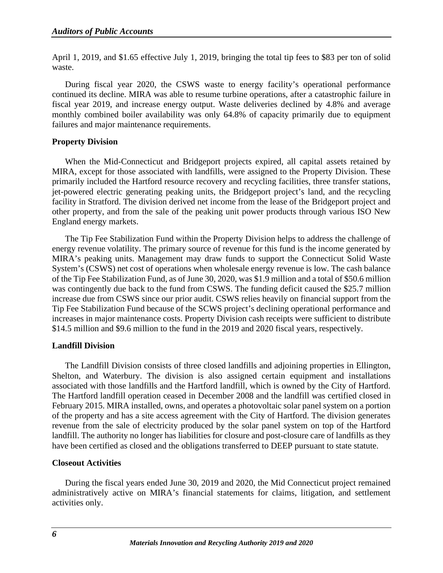April 1, 2019, and \$1.65 effective July 1, 2019, bringing the total tip fees to \$83 per ton of solid waste.

During fiscal year 2020, the CSWS waste to energy facility's operational performance continued its decline. MIRA was able to resume turbine operations, after a catastrophic failure in fiscal year 2019, and increase energy output. Waste deliveries declined by 4.8% and average monthly combined boiler availability was only 64.8% of capacity primarily due to equipment failures and major maintenance requirements.

## <span id="page-8-0"></span>**Property Division**

When the Mid-Connecticut and Bridgeport projects expired, all capital assets retained by MIRA, except for those associated with landfills, were assigned to the Property Division. These primarily included the Hartford resource recovery and recycling facilities, three transfer stations, jet-powered electric generating peaking units, the Bridgeport project's land, and the recycling facility in Stratford. The division derived net income from the lease of the Bridgeport project and other property, and from the sale of the peaking unit power products through various ISO New England energy markets.

The Tip Fee Stabilization Fund within the Property Division helps to address the challenge of energy revenue volatility. The primary source of revenue for this fund is the income generated by MIRA's peaking units. Management may draw funds to support the Connecticut Solid Waste System's (CSWS) net cost of operations when wholesale energy revenue is low. The cash balance of the Tip Fee Stabilization Fund, as of June 30, 2020, was \$1.9 million and a total of \$50.6 million was contingently due back to the fund from CSWS. The funding deficit caused the \$25.7 million increase due from CSWS since our prior audit. CSWS relies heavily on financial support from the Tip Fee Stabilization Fund because of the SCWS project's declining operational performance and increases in major maintenance costs. Property Division cash receipts were sufficient to distribute \$14.5 million and \$9.6 million to the fund in the 2019 and 2020 fiscal years, respectively.

## <span id="page-8-1"></span>**Landfill Division**

The Landfill Division consists of three closed landfills and adjoining properties in Ellington, Shelton, and Waterbury. The division is also assigned certain equipment and installations associated with those landfills and the Hartford landfill, which is owned by the City of Hartford. The Hartford landfill operation ceased in December 2008 and the landfill was certified closed in February 2015. MIRA installed, owns, and operates a photovoltaic solar panel system on a portion of the property and has a site access agreement with the City of Hartford. The division generates revenue from the sale of electricity produced by the solar panel system on top of the Hartford landfill. The authority no longer has liabilities for closure and post-closure care of landfills as they have been certified as closed and the obligations transferred to DEEP pursuant to state statute.

## <span id="page-8-2"></span>**Closeout Activities**

During the fiscal years ended June 30, 2019 and 2020, the Mid Connecticut project remained administratively active on MIRA's financial statements for claims, litigation, and settlement activities only.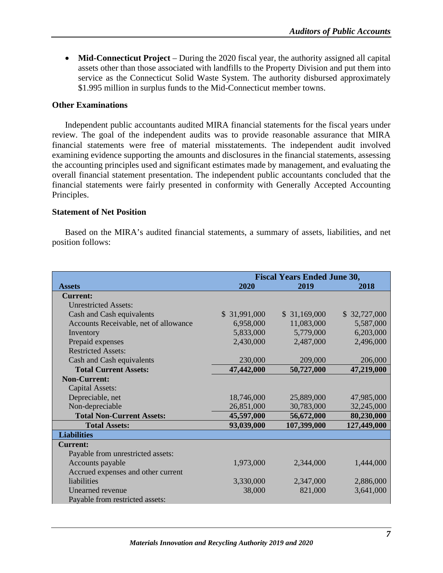• **Mid-Connecticut Project** – During the 2020 fiscal year, the authority assigned all capital assets other than those associated with landfills to the Property Division and put them into service as the Connecticut Solid Waste System. The authority disbursed approximately \$1.995 million in surplus funds to the Mid-Connecticut member towns.

## <span id="page-9-0"></span>**Other Examinations**

Independent public accountants audited MIRA financial statements for the fiscal years under review. The goal of the independent audits was to provide reasonable assurance that MIRA financial statements were free of material misstatements. The independent audit involved examining evidence supporting the amounts and disclosures in the financial statements, assessing the accounting principles used and significant estimates made by management, and evaluating the overall financial statement presentation. The independent public accountants concluded that the financial statements were fairly presented in conformity with Generally Accepted Accounting Principles.

#### <span id="page-9-1"></span>**Statement of Net Position**

Based on the MIRA's audited financial statements, a summary of assets, liabilities, and net position follows:

|                                       | <b>Fiscal Years Ended June 30,</b> |              |              |
|---------------------------------------|------------------------------------|--------------|--------------|
| <b>Assets</b>                         | 2020                               | 2019         | 2018         |
| <b>Current:</b>                       |                                    |              |              |
| <b>Unrestricted Assets:</b>           |                                    |              |              |
| Cash and Cash equivalents             | \$31,991,000                       | \$31,169,000 | \$32,727,000 |
| Accounts Receivable, net of allowance | 6,958,000                          | 11,083,000   | 5,587,000    |
| Inventory                             | 5,833,000                          | 5,779,000    | 6,203,000    |
| Prepaid expenses                      | 2,430,000                          | 2,487,000    | 2,496,000    |
| <b>Restricted Assets:</b>             |                                    |              |              |
| Cash and Cash equivalents             | 230,000                            | 209,000      | 206,000      |
| <b>Total Current Assets:</b>          | 47,442,000                         | 50,727,000   | 47,219,000   |
| <b>Non-Current:</b>                   |                                    |              |              |
| <b>Capital Assets:</b>                |                                    |              |              |
| Depreciable, net                      | 18,746,000                         | 25,889,000   | 47,985,000   |
| Non-depreciable                       | 26,851,000                         | 30,783,000   | 32,245,000   |
| <b>Total Non-Current Assets:</b>      | 45,597,000                         | 56,672,000   | 80,230,000   |
| <b>Total Assets:</b>                  | 93,039,000                         | 107,399,000  | 127,449,000  |
| <b>Liabilities</b>                    |                                    |              |              |
| <b>Current:</b>                       |                                    |              |              |
| Payable from unrestricted assets:     |                                    |              |              |
| Accounts payable                      | 1,973,000                          | 2,344,000    | 1,444,000    |
| Accrued expenses and other current    |                                    |              |              |
| liabilities                           | 3,330,000                          | 2,347,000    | 2,886,000    |
| Unearned revenue                      | 38,000                             | 821,000      | 3,641,000    |
| Payable from restricted assets:       |                                    |              |              |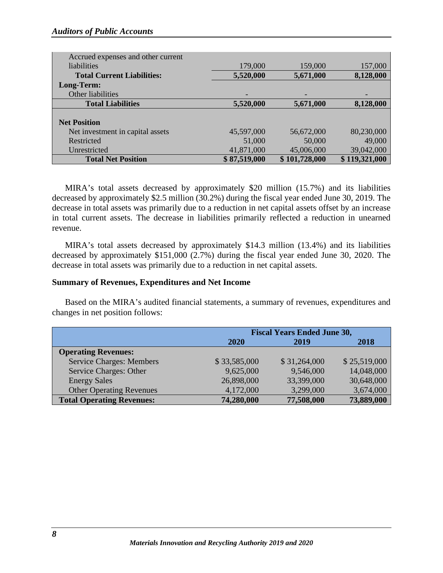| Accrued expenses and other current |              |               |               |
|------------------------------------|--------------|---------------|---------------|
| <i>liabilities</i>                 | 179,000      | 159,000       | 157,000       |
| <b>Total Current Liabilities:</b>  | 5,520,000    | 5,671,000     | 8,128,000     |
| Long-Term:                         |              |               |               |
| Other liabilities                  |              |               |               |
| <b>Total Liabilities</b>           | 5,520,000    | 5,671,000     | 8,128,000     |
|                                    |              |               |               |
| <b>Net Position</b>                |              |               |               |
| Net investment in capital assets   | 45,597,000   | 56,672,000    | 80,230,000    |
| Restricted                         | 51,000       | 50,000        | 49,000        |
| Unrestricted                       | 41,871,000   | 45,006,000    | 39,042,000    |
| <b>Total Net Position</b>          | \$87,519,000 | \$101,728,000 | \$119,321,000 |

MIRA's total assets decreased by approximately \$20 million (15.7%) and its liabilities decreased by approximately \$2.5 million (30.2%) during the fiscal year ended June 30, 2019. The decrease in total assets was primarily due to a reduction in net capital assets offset by an increase in total current assets. The decrease in liabilities primarily reflected a reduction in unearned revenue.

MIRA's total assets decreased by approximately \$14.3 million (13.4%) and its liabilities decreased by approximately \$151,000 (2.7%) during the fiscal year ended June 30, 2020. The decrease in total assets was primarily due to a reduction in net capital assets.

#### <span id="page-10-0"></span>**Summary of Revenues, Expenditures and Net Income**

Based on the MIRA's audited financial statements, a summary of revenues, expenditures and changes in net position follows:

|                                  | <b>Fiscal Years Ended June 30,</b> |              |              |
|----------------------------------|------------------------------------|--------------|--------------|
|                                  | 2020                               | 2019         | 2018         |
| <b>Operating Revenues:</b>       |                                    |              |              |
| <b>Service Charges: Members</b>  | \$33,585,000                       | \$31,264,000 | \$25,519,000 |
| Service Charges: Other           | 9,625,000                          | 9,546,000    | 14,048,000   |
| <b>Energy Sales</b>              | 26,898,000                         | 33,399,000   | 30,648,000   |
| <b>Other Operating Revenues</b>  | 4,172,000                          | 3,299,000    | 3,674,000    |
| <b>Total Operating Revenues:</b> | 74,280,000                         | 77,508,000   | 73,889,000   |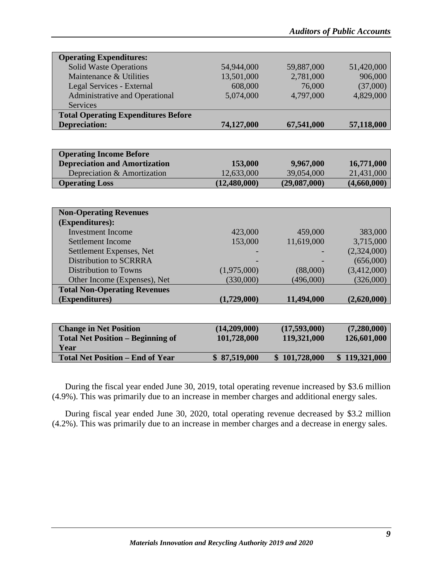| <b>Operating Expenditures:</b>             |            |            |            |
|--------------------------------------------|------------|------------|------------|
| Solid Waste Operations                     | 54,944,000 | 59,887,000 | 51,420,000 |
| Maintenance & Utilities                    | 13,501,000 | 2,781,000  | 906,000    |
| Legal Services - External                  | 608,000    | 76,000     | (37,000)   |
| <b>Administrative and Operational</b>      | 5,074,000  | 4,797,000  | 4,829,000  |
| Services                                   |            |            |            |
| <b>Total Operating Expenditures Before</b> |            |            |            |
| <b>Depreciation:</b>                       | 74,127,000 | 67,541,000 | 57,118,000 |

| <b>Operating Income Before</b>       |              |              |             |
|--------------------------------------|--------------|--------------|-------------|
| <b>Depreciation and Amortization</b> | 153,000      | 9,967,000    | 16,771,000  |
| Depreciation & Amortization          | 12,633,000   | 39,054,000   | 21,431,000  |
| <b>Operating Loss</b>                | (12,480,000) | (29,087,000) | (4,660,000) |

| <b>Non-Operating Revenues</b>       |             |            |             |
|-------------------------------------|-------------|------------|-------------|
| (Expenditures):                     |             |            |             |
| Investment Income                   | 423,000     | 459,000    | 383,000     |
| Settlement Income                   | 153,000     | 11,619,000 | 3,715,000   |
| Settlement Expenses, Net            |             |            | (2,324,000) |
| <b>Distribution to SCRRRA</b>       |             |            | (656,000)   |
| Distribution to Towns               | (1,975,000) | (88,000)   | (3,412,000) |
| Other Income (Expenses), Net        | (330,000)   | (496,000)  | (326,000)   |
| <b>Total Non-Operating Revenues</b> |             |            |             |
| (Expenditures)                      | (1,729,000) | 11,494,000 | (2,620,000) |
|                                     |             |            |             |

| <b>Change in Net Position</b>            | (14,209,000) | (17,593,000)  | (7,280,000)   |
|------------------------------------------|--------------|---------------|---------------|
| <b>Total Net Position – Beginning of</b> | 101,728,000  | 119,321,000   | 126,601,000   |
| Year                                     |              |               |               |
| <b>Total Net Position – End of Year</b>  | \$87,519,000 | \$101,728,000 | \$119,321,000 |
|                                          |              |               |               |

During the fiscal year ended June 30, 2019, total operating revenue increased by \$3.6 million (4.9%). This was primarily due to an increase in member charges and additional energy sales.

During fiscal year ended June 30, 2020, total operating revenue decreased by \$3.2 million (4.2%). This was primarily due to an increase in member charges and a decrease in energy sales.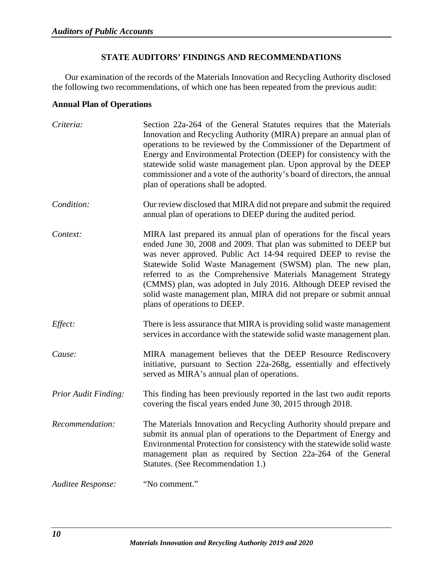## **STATE AUDITORS' FINDINGS AND RECOMMENDATIONS**

<span id="page-12-2"></span><span id="page-12-0"></span>Our examination of the records of the Materials Innovation and Recycling Authority disclosed the following two recommendations, of which one has been repeated from the previous audit:

## <span id="page-12-1"></span>**Annual Plan of Operations**

| Criteria:            | Section 22a-264 of the General Statutes requires that the Materials<br>Innovation and Recycling Authority (MIRA) prepare an annual plan of<br>operations to be reviewed by the Commissioner of the Department of<br>Energy and Environmental Protection (DEEP) for consistency with the<br>statewide solid waste management plan. Upon approval by the DEEP<br>commissioner and a vote of the authority's board of directors, the annual<br>plan of operations shall be adopted.                                          |
|----------------------|---------------------------------------------------------------------------------------------------------------------------------------------------------------------------------------------------------------------------------------------------------------------------------------------------------------------------------------------------------------------------------------------------------------------------------------------------------------------------------------------------------------------------|
| Condition:           | Our review disclosed that MIRA did not prepare and submit the required<br>annual plan of operations to DEEP during the audited period.                                                                                                                                                                                                                                                                                                                                                                                    |
| Context:             | MIRA last prepared its annual plan of operations for the fiscal years<br>ended June 30, 2008 and 2009. That plan was submitted to DEEP but<br>was never approved. Public Act 14-94 required DEEP to revise the<br>Statewide Solid Waste Management (SWSM) plan. The new plan,<br>referred to as the Comprehensive Materials Management Strategy<br>(CMMS) plan, was adopted in July 2016. Although DEEP revised the<br>solid waste management plan, MIRA did not prepare or submit annual<br>plans of operations to DEEP. |
| Effect:              | There is less assurance that MIRA is providing solid waste management<br>services in accordance with the statewide solid waste management plan.                                                                                                                                                                                                                                                                                                                                                                           |
| Cause:               | MIRA management believes that the DEEP Resource Rediscovery<br>initiative, pursuant to Section 22a-268g, essentially and effectively<br>served as MIRA's annual plan of operations.                                                                                                                                                                                                                                                                                                                                       |
| Prior Audit Finding: | This finding has been previously reported in the last two audit reports<br>covering the fiscal years ended June 30, 2015 through 2018.                                                                                                                                                                                                                                                                                                                                                                                    |
| Recommendation:      | The Materials Innovation and Recycling Authority should prepare and<br>submit its annual plan of operations to the Department of Energy and<br>Environmental Protection for consistency with the statewide solid waste<br>management plan as required by Section 22a-264 of the General<br>Statutes. (See Recommendation 1.)                                                                                                                                                                                              |
| Auditee Response:    | "No comment."                                                                                                                                                                                                                                                                                                                                                                                                                                                                                                             |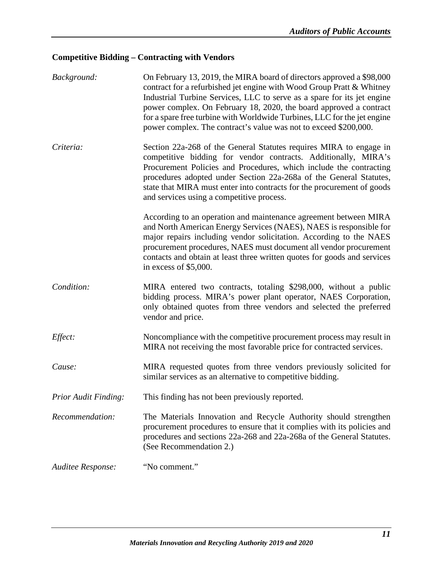## <span id="page-13-0"></span>**Competitive Bidding – Contracting with Vendors**

<span id="page-13-1"></span>

| Background:                 | On February 13, 2019, the MIRA board of directors approved a \$98,000<br>contract for a refurbished jet engine with Wood Group Pratt & Whitney<br>Industrial Turbine Services, LLC to serve as a spare for its jet engine<br>power complex. On February 18, 2020, the board approved a contract<br>for a spare free turbine with Worldwide Turbines, LLC for the jet engine<br>power complex. The contract's value was not to exceed \$200,000. |
|-----------------------------|-------------------------------------------------------------------------------------------------------------------------------------------------------------------------------------------------------------------------------------------------------------------------------------------------------------------------------------------------------------------------------------------------------------------------------------------------|
| Criteria:                   | Section 22a-268 of the General Statutes requires MIRA to engage in<br>competitive bidding for vendor contracts. Additionally, MIRA's<br>Procurement Policies and Procedures, which include the contracting<br>procedures adopted under Section 22a-268a of the General Statutes,<br>state that MIRA must enter into contracts for the procurement of goods<br>and services using a competitive process.                                         |
|                             | According to an operation and maintenance agreement between MIRA<br>and North American Energy Services (NAES), NAES is responsible for<br>major repairs including vendor solicitation. According to the NAES<br>procurement procedures, NAES must document all vendor procurement<br>contacts and obtain at least three written quotes for goods and services<br>in excess of $$5,000$ .                                                        |
| Condition:                  | MIRA entered two contracts, totaling \$298,000, without a public<br>bidding process. MIRA's power plant operator, NAES Corporation,<br>only obtained quotes from three vendors and selected the preferred<br>vendor and price.                                                                                                                                                                                                                  |
| Effect:                     | Noncompliance with the competitive procurement process may result in<br>MIRA not receiving the most favorable price for contracted services.                                                                                                                                                                                                                                                                                                    |
| Cause:                      | MIRA requested quotes from three vendors previously solicited for<br>similar services as an alternative to competitive bidding.                                                                                                                                                                                                                                                                                                                 |
| <b>Prior Audit Finding:</b> | This finding has not been previously reported.                                                                                                                                                                                                                                                                                                                                                                                                  |
| Recommendation:             | The Materials Innovation and Recycle Authority should strengthen<br>procurement procedures to ensure that it complies with its policies and<br>procedures and sections 22a-268 and 22a-268a of the General Statutes.<br>(See Recommendation 2.)                                                                                                                                                                                                 |
| Auditee Response:           | "No comment."                                                                                                                                                                                                                                                                                                                                                                                                                                   |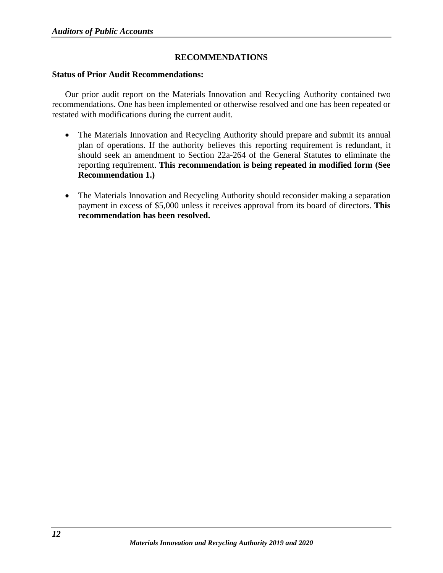## **RECOMMENDATIONS**

#### <span id="page-14-1"></span><span id="page-14-0"></span>**Status of Prior Audit Recommendations:**

Our prior audit report on the Materials Innovation and Recycling Authority contained two recommendations. One has been implemented or otherwise resolved and one has been repeated or restated with modifications during the current audit.

- The Materials Innovation and Recycling Authority should prepare and submit its annual plan of operations. If the authority believes this reporting requirement is redundant, it should seek an amendment to Section 22a-264 of the General Statutes to eliminate the reporting requirement. **This recommendation is being repeated in modified form (See Recommendation 1.)**
- The Materials Innovation and Recycling Authority should reconsider making a separation payment in excess of \$5,000 unless it receives approval from its board of directors. **This recommendation has been resolved.**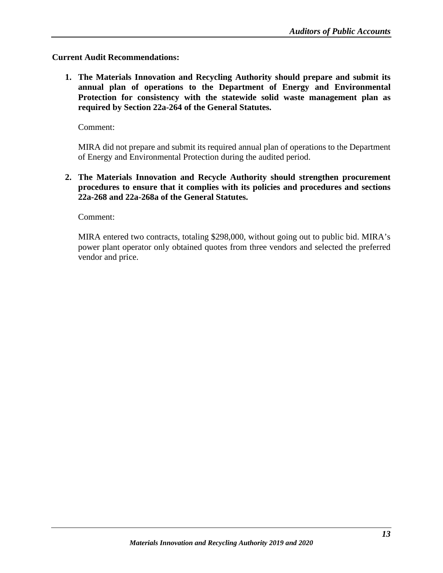## <span id="page-15-0"></span>**Current Audit Recommendations:**

**1. The Materials Innovation and Recycling Authority should prepare and submit its annual plan of operations to the Department of Energy and Environmental Protection for consistency with the statewide solid waste management plan as required by Section 22a-264 of the General Statutes.**

Comment:

MIRA did not prepare and submit its required annual plan of operations to the Department of Energy and Environmental Protection during the audited period.

**2. The Materials Innovation and Recycle Authority should strengthen procurement procedures to ensure that it complies with its policies and procedures and sections 22a-268 and 22a-268a of the General Statutes.**

Comment:

MIRA entered two contracts, totaling \$298,000, without going out to public bid. MIRA's power plant operator only obtained quotes from three vendors and selected the preferred vendor and price.